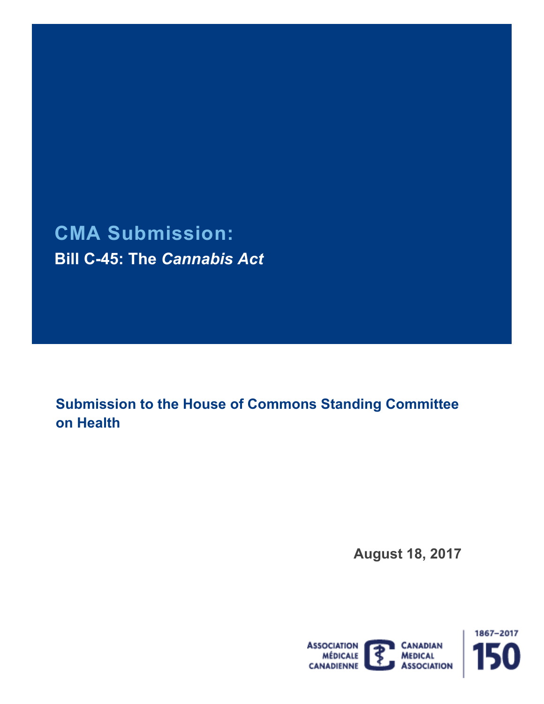# **CMA Submission: Bill C-45: The** *Cannabis Act*

 **Submission to the House of Commons Standing Committee on Health** 

**August 18, 2017** 

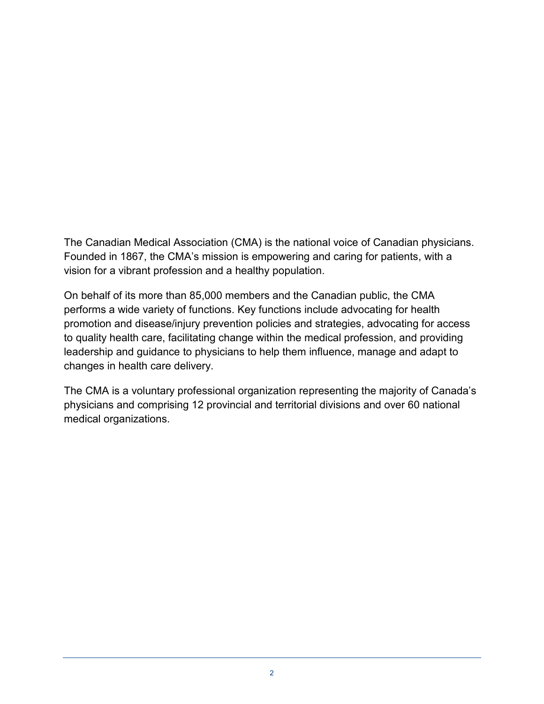vision for a vibrant profession and a healthy population. The Canadian Medical Association (CMA) is the national voice of Canadian physicians. Founded in 1867, the CMA's mission is empowering and caring for patients, with a

 promotion and disease/injury prevention policies and strategies, advocating for access On behalf of its more than 85,000 members and the Canadian public, the CMA performs a wide variety of functions. Key functions include advocating for health to quality health care, facilitating change within the medical profession, and providing leadership and guidance to physicians to help them influence, manage and adapt to changes in health care delivery.

The CMA is a voluntary professional organization representing the majority of Canada's physicians and comprising 12 provincial and territorial divisions and over 60 national medical organizations.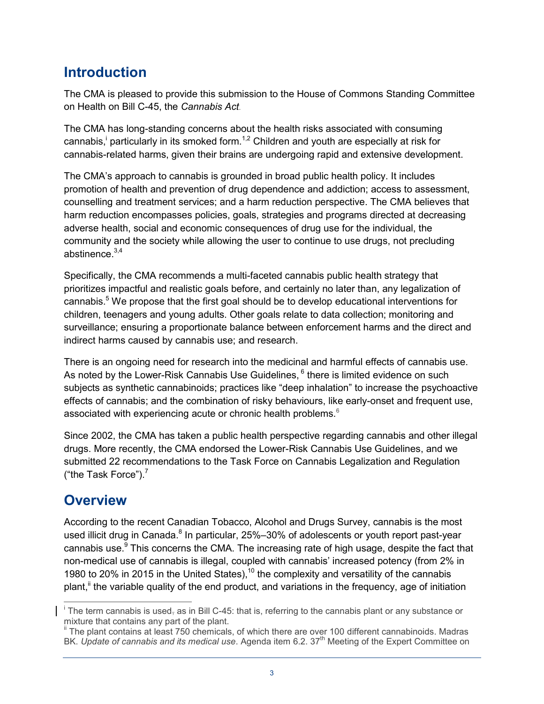### **Introduction**

 The CMA is pleased to provide this submission to the House of Commons Standing Committee on Health on Bill C-45, the *Cannabis Act*.

 The CMA has long-standing concerns about the health risks associated with consuming cannabis,<sup>i</sup> particularly in its smoked form.<sup>1,2</sup> Children and youth are especially at risk for cannabis-related harms, given their brains are undergoing rapid and extensive development.

 The CMA's approach to cannabis is grounded in broad public health policy. It includes promotion of health and prevention of drug dependence and addiction; access to assessment, harm reduction encompasses policies, goals, strategies and programs directed at decreasing adverse health, social and economic consequences of drug use for the individual, the community and the society while allowing the user to continue to use drugs, not precluding counselling and treatment services; and a harm reduction perspective. The CMA believes that abstinence. $3,4$ 

 Specifically, the CMA recommends a multi-faceted cannabis public health strategy that prioritizes impactful and realistic goals before, and certainly no later than, any legalization of cannabis.<sup>5</sup> We propose that the first goal should be to develop educational interventions for children, teenagers and young adults. Other goals relate to data collection; monitoring and surveillance; ensuring a proportionate balance between enforcement harms and the direct and indirect harms caused by cannabis use; and research.

 There is an ongoing need for research into the medicinal and harmful effects of cannabis use. As noted by the Lower-Risk Cannabis Use Guidelines,  $^6$  there is limited evidence on such subjects as synthetic cannabinoids; practices like "deep inhalation" to increase the psychoactive effects of cannabis; and the combination of risky behaviours, like early-onset and frequent use, associated with experiencing acute or chronic health problems. $^6$ 

 Since 2002, the CMA has taken a public health perspective regarding cannabis and other illegal drugs. More recently, the CMA endorsed the Lower-Risk Cannabis Use Guidelines, and we submitted 22 recommendations to the Task Force on Cannabis Legalization and Regulation ("the Task Force"). $<sup>7</sup>$ </sup>

### **Overview**

 According to the recent Canadian Tobacco, Alcohol and Drugs Survey, cannabis is the most used illicit drug in Canada.<sup>8</sup> In particular, 25%–30% of adolescents or youth report past-year cannabis use. $9$  This concerns the CMA. The increasing rate of high usage, despite the fact that non-medical use of cannabis is illegal, coupled with cannabis' increased potency (from 2% in 1980 to 20% in 2015 in the United States),<sup>10</sup> the complexity and versatility of the cannabis plant,<sup>ii</sup> the variable quality of the end product, and variations in the frequency, age of initiation

 $\overline{a}$  $\overline{I}$  The term cannabis is used<sub>7</sub> as in Bill C-45: that is, referring to the cannabis plant or any substance or mixture that contains any part of the plant.

<sup>&</sup>lt;sup>ii</sup> The plant contains at least 750 chemicals, of which there are over 100 different cannabinoids. Madras BK. *Update of cannabis and its medical use*. Agenda item 6.2. 37<sup>th</sup> Meeting of the Expert Committee on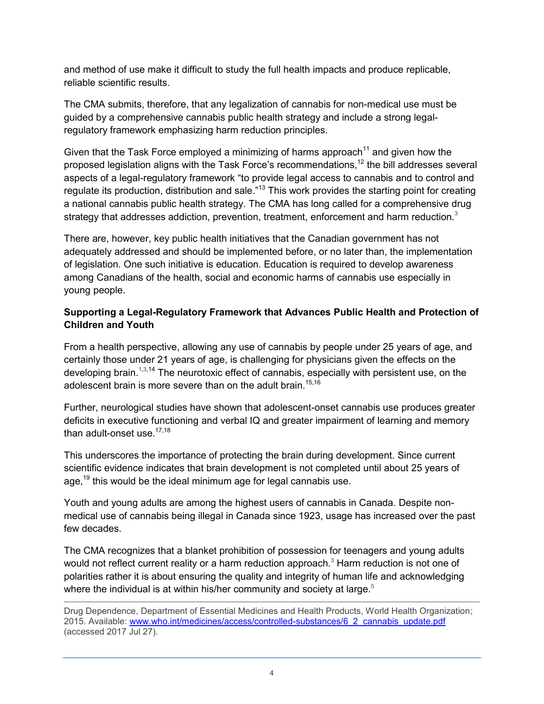and method of use make it difficult to study the full health impacts and produce replicable, reliable scientific results.

reliable scientific results.<br>The CMA submits, therefore, that any legalization of cannabis for non-medical use must be guided by a comprehensive cannabis public health strategy and include a strong legal-regulatory framework emphasizing harm reduction principles.

Given that the Task Force employed a minimizing of harms approach<sup>11</sup> and given how the proposed legislation aligns with the Task Force's recommendations,<sup>12</sup> the bill addresses several aspects of a legal-regulatory framework "to provide legal access to cannabis and to control and regulate its production, distribution and sale."<sup>13</sup> This work provides the starting point for creating a national cannabis public health strategy. The CMA has long called for a comprehensive [dru](#page-7-2)g strategy that addresses addiction, prevention, treatment, enforcement and harm reduction. $^3$ 

 There are, however, key public health initiatives that the Canadian government has not adequately addressed and should be implemented before, or no later than, the implementation of legislation. One such initiative is education. Education is required to develop awareness among Canadians of the health, social and economic harms of cannabis use especially in young people.

#### **Supporting a Legal-Regulatory Framework that Advances Public Health and Protection of Children and Youth**

 From a health perspective, allowing any use of cannabis by people under 25 years of age, and certainly those under 21 years of age, is challenging for physicians given the effects on the developing brain.<sup>[1,](#page-7-0)[3](#page-7-2),14</sup> The neurotoxic effect of cannabis, especially with persistent use, on the adolescent brain is more severe than on the adult brain.<sup>[15,](#page-8-0)16</sup>

 deficits in executive functioning and verbal IQ and greater impairment of learning and memory than adult-onset use. $17,18$  $17,18$ Further, neurological studies have shown that adolescent-onset cannabis use produces greater

 This underscores the importance of protecting the brain during development. Since current scientific evidence indicates that brain development is not completed until about 25 years of age,<sup>19</sup> this would be the ideal minimum age for legal cannabis use.

 Youth and young adults are among the highest users of cannabis in Canada. Despite non- medical use of cannabis being illegal in Canada since 1923, usage has increased over the past few decades.

 The CMA recognizes that a blanket prohibition of possession for teenagers and young adults would not reflect current reality or a harm reduction approach.<sup>3</sup> Harm reduction is not one of polarities rather it is about ensuring the quality and integrity of human l[ife](#page-7-4) and acknowledging where the individual is at within his/her community and society at large.<sup>5</sup>

 $\overline{a}$  (accessed 2017 Jul 27). Drug Dependence, Department of Essential Medicines and Health Products, World Health Organization; 2015. Available: [www.who.int/medicines/access/controlled-substances/6\\_2\\_cannabis\\_update.pdf](http://www.who.int/medicines/access/controlled-substances/6_2_cannabis_update.pdf)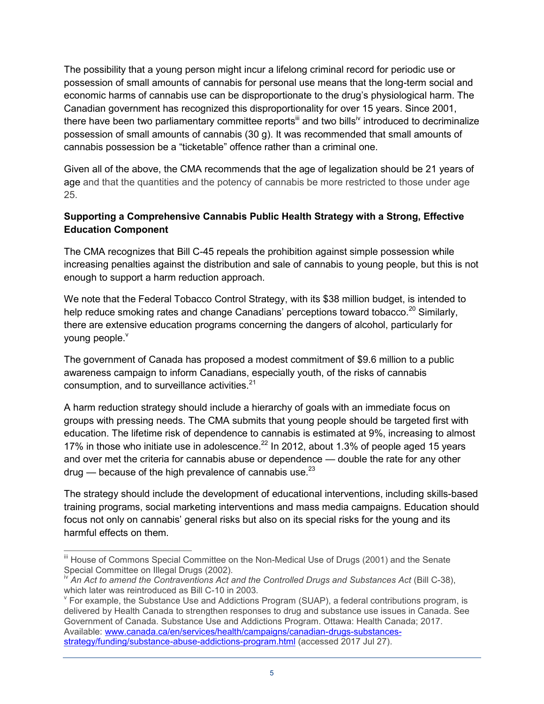The possibility that a young person might incur a lifelong criminal record for periodic use or possession of small amounts of cannabis for personal use means that the long-term social and economic harms of cannabis use can be disproportionate to the drug's physiological harm. The Canadian government has recognized this disproportionality for over 15 years. Since 2001, there have been two parliamentary committee reports<sup>iii</sup> and two bills<sup>iv</sup> introduced to decriminalize possession of small amounts of cannabis (30 g). It was recommended that small amounts of cannabis possession be a "ticketable" offence rather than a criminal one.

 Given all of the above, the CMA recommends that the age of legalization should be 21 years of age and that the quantities and the potency of cannabis be more restricted to those under age 25.

#### **Supporting a Comprehensive Cannabis Public Health Strategy with a Strong, Effective Education Component**

 The CMA recognizes that Bill C-45 repeals the prohibition against simple possession while increasing penalties against the distribution and sale of cannabis to young people, but this is not enough to support a harm reduction approach.

 We note that the Federal Tobacco Control Strategy, with its \$38 million budget, is intended to help reduce smoking rates and change Canadians' perceptions toward tobacco.<sup>20</sup> Similarly, there are extensive education programs concerning the dangers of alcohol, particularly for young people.<sup>v</sup>

 The government of Canada has proposed a modest commitment of \$9.6 million to a public awareness campaign to inform Canadians, especially youth, of the risks of cannabis consumption, and to surveillance activities.<sup>[21](#page-8-6)</sup>

 A harm reduction strategy should include a hierarchy of goals with an immediate focus on groups with pressing needs. The CMA submits that young people should be targeted first with education. The lifetime risk of dependence to cannabis is estimated at 9%, increasing to almost 17% in those who initiate use in adolescence. $^{22}$  In 2012, about 1.3% of people aged 15 years and over met the criteria for cannabis abuse or dependence — double the rate for any other drug — because of the high prevalence of cannabis use. $^{23}$ 

 The strategy should include the development of educational interventions, including skills-based training programs, social marketing interventions and mass media campaigns. Education should focus not only on cannabis' general risks but also on its special risks for the young and its harmful effects on them.

 $\overline{a}$ III House of Commons Special Committee on the Non-Medical Use of Drugs (2001) and the Senate Special Committee on Illegal Drugs (2002).

<sup>&</sup>lt;sup>iv</sup> An Act to amend the Contraventions Act and the Controlled Drugs and Substances Act (Bill C-38), which later was reintroduced as Bill C-10 in 2003.

 $\rm{v}$  For example, the Substance Use and Addictions Program (SUAP), a federal contributions program, is delivered by Health Canada to strengthen responses to drug and substance use issues in Canada. See Government of Canada. Substance Use and Addictions Program. Ottawa: Health Canada; 2017. Available: [www.canada.ca/en/services/health/campaigns/canadian-drugs-substances](http://www.canada.ca/en/services/health/campaigns/canadian-drugs-substances-strategy/funding/substance-abuse-addictions-program.html)[strategy/funding/substance-abuse-addictions-program.html](http://www.canada.ca/en/services/health/campaigns/canadian-drugs-substances-strategy/funding/substance-abuse-addictions-program.html) (accessed 2017 Jul 27).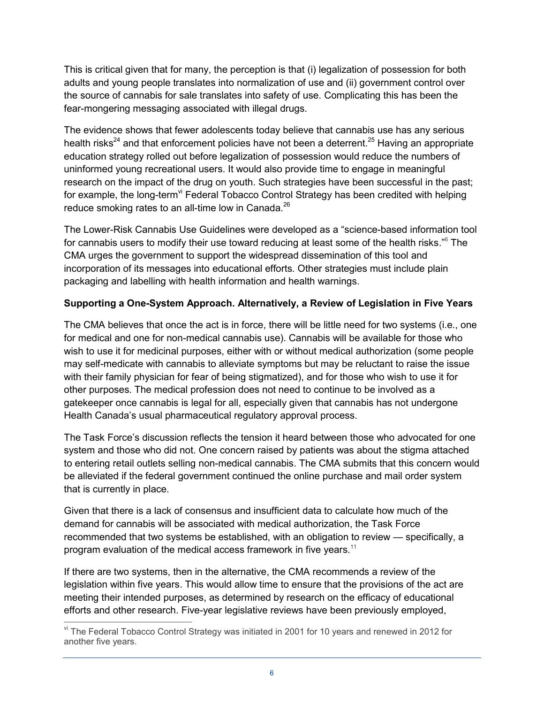This is critical given that for many, the perception is that (i) legalization of possession for both adults and young people translates into normalization of use and (ii) government control over the source of cannabis for sale translates into safety of use. Complicating this has been the fear-mongering messaging associated with illegal drugs.

 The evidence shows that fewer adolescents today believe that cannabis use has any serious health risks<sup>24</sup> and that enforcement policies have not been a deterrent.<sup>25</sup> Having an appropriate education strategy rolled out before legalization of possession would reduce the numbers of uninformed young recreational users. It would also provide time to engage in meaningful research on the impact of the drug on youth. Such strategies have been successful in the past; for example, the long-term<sup>vi</sup> Federal Tobacco Control Strategy has been credited with helping reduce smoking rates to an all-time low in Canada. $^{26}$ 

 The Lower-Risk Cannabis Use Guidelines were developed as a "science-based information tool for cannabis users to modify their use toward reducing at least some of the health risks."<sup>6</sup> The CMA urges the government to support the widespread dissemination of this tool and incorporation of its messages into educational efforts. Other strategies must include plain packaging and labelling with health information and health warnings.

#### **Supporting a One-System Approach. Alternatively, a Review of Legislation in Five Years**

 The CMA believes that once the act is in force, there will be little need for two systems (i.e., one for medical and one for non-medical cannabis use). Cannabis will be available for those who wish to use it for medicinal purposes, either with or without medical authorization (some people may self-medicate with cannabis to alleviate symptoms but may be reluctant to raise the issue with their family physician for fear of being stigmatized), and for those who wish to use it for other purposes. The medical profession does not need to continue to be involved as a gatekeeper once cannabis is legal for all, especially given that cannabis has not undergone Health Canada's usual pharmaceutical regulatory approval process.

 The Task Force's discussion reflects the tension it heard between those who advocated for one system and those who did not. One concern raised by patients was about the stigma attached to entering retail outlets selling non-medical cannabis. The CMA submits that this concern would be alleviated if the federal government continued the online purchase and mail order system that is currently in place.

 Given that there is a lack of consensus and insufficient data to calculate how much of the demand for cannabis will be associated with medical authorization, the Task Force recommended that two systems be established, with an obligation to review — specifically, a program evaluation of the medical access framework in five years.<sup>11</sup>

 If there are two systems, then in the alternative, the CMA recommends a review of the legislation within five years. This would allow time to ensure that the provisions of the act are meeting their intended purposes, as determined by research on the efficacy of educational efforts and other research. Five-year legislative reviews have been previously employed,

 $\overline{a}$  another five years. <sup>vi</sup> The Federal Tobacco Control Strategy was initiated in 2001 for 10 years and renewed in 2012 for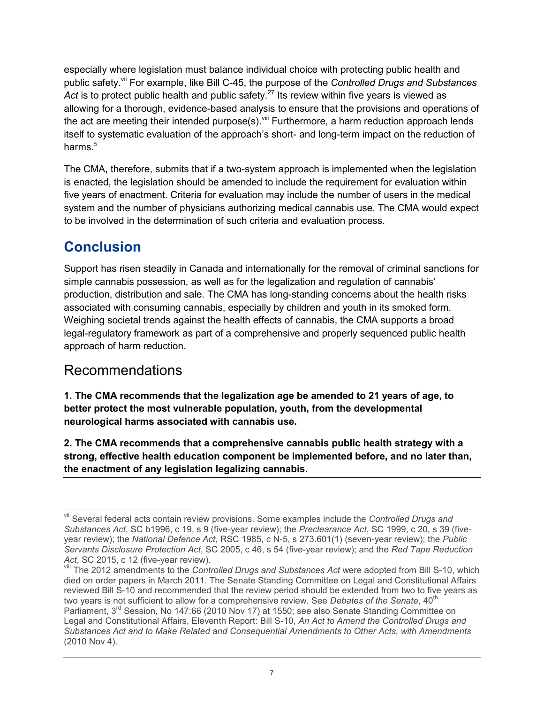especially where legislation must balance individual choice with protecting public health and public safety.<sup>vii</sup> For example, like Bill C-45, the purpose of the *Controlled Drugs and Substances* Act is to protect public health and public safety.<sup>27</sup> Its review within five years is viewed as allowing for a thorough, evidence-based analysis to ensure that the provisions and operations of the act are meeting their intended purpose(s).<sup>viii</sup> Furthermore, a harm reduction approach lends itself t[o s](#page-7-4)ystematic evaluation of the approach's short- and long-term impact on the reduction of harms. $^{\rm 5}$ 

 The CMA, therefore, submits that if a two-system approach is implemented when the legislation is enacted, the legislation should be amended to include the requirement for evaluation within five years of enactment. Criteria for evaluation may include the number of users in the medical system and the number of physicians authorizing medical cannabis use. The CMA would expect to be involved in the determination of such criteria and evaluation process.

## **Conclusion**

 Support has risen steadily in Canada and internationally for the removal of criminal sanctions for simple cannabis possession, as well as for the legalization and regulation of cannabis' production, distribution and sale. The CMA has long-standing concerns about the health risks associated with consuming cannabis, especially by children and youth in its smoked form. Weighing societal trends against the health effects of cannabis, the CMA supports a broad legal-regulatory framework as part of a comprehensive and properly sequenced public health approach of harm reduction.

### Recommendations

 **1. The CMA recommends that the legalization age be amended to 21 years of age, to better protect the most vulnerable population, youth, from the developmental neurological harms associated with cannabis use.** 

 **2. The CMA recommends that a comprehensive cannabis public health strategy with a strong, effective health education component be implemented before, and no later than, the enactment of any legislation legalizing cannabis.** 

 $\overline{a}$ vii Several federal acts contain review provisions. Some examples include the *Controlled Drugs and Substances Act*, SC b1996, c 19, s 9 (five-year review); the *Preclearance Act*, SC 1999, c 20, s 39 (fiveyear review); the *National Defence Act*, RSC 1985, c N-5, s 273.601(1) (seven-year review); the *Public Servants Disclosure Protection Act*, SC 2005, c 46, s 54 (five-year review); and the *Red Tape Reduction* 

*Act*, SC 2015, c 12 (five-year review).<br><sup>viii</sup> The 2012 amendments to the *Controlled Drugs and Substances Act* were adopted from Bill S-10, which died on order papers in March 2011. The Senate Standing Committee on Legal and Constitutional Affairs reviewed Bill S-10 and recommended that the review period should be extended from two to five years as  Legal and Constitutional Affairs, Eleventh Report: Bill S-10, *An Act to Amend the Controlled Drugs and*  two years is not sufficient to allow for a comprehensive review. See Debates of the Senate, 40<sup>th</sup> Parliament, 3<sup>rd</sup> Session, No 147:66 (2010 Nov 17) at 1550; see also Senate Standing Committee on *Substances Act and to Make Related and Consequential Amendments to Other Acts, with Amendments*  (2010 Nov 4).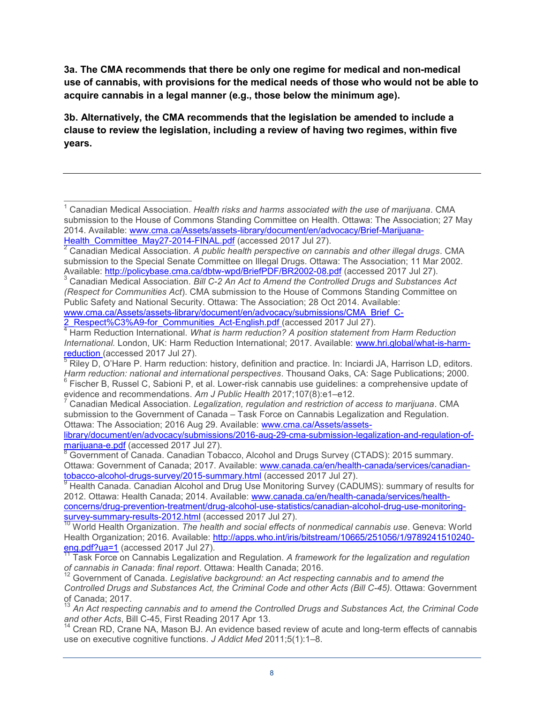**3a. The CMA recommends that there be only one regime for medical and non-medical use of cannabis, with provisions for the medical needs of those who would not be able to acquire cannabis in a legal manner (e.g., those below the minimum age).** 

 **3b. Alternatively, the CMA recommends that the legislation be amended to include a clause to review the legislation, including a review of having two regimes, within five years.** 

www.cma.ca/Assets/assets-library/document/en/advocacy/submissions/CMA\_Brief\_C-<br>2 Respect%C3%A9-for Communities Act-English.pdf (accessed 2017 Jul 27).

<span id="page-7-6"></span><span id="page-7-5"></span>evidence and recommendations. *Am J Public Health* 2017;107(8):e1–e12.<br><sup>7</sup> Canadian Medical Association. *Legalization, regulation and restriction of access to marijuana.* CMA submission to the Government of Canada – Task Force on Cannabis Legalization and Regulation. Ottawa: The Association; 2016 Aug 29. Available: [www.cma.ca/Assets/assets-](http://www.cma.ca/Assets/assets-library/document/en/advocacy/submissions/2016-aug-29-cma-submission-legalization-and-regulation-of-marijuana-e.pdf)

<span id="page-7-7"></span>marijuana-e.pdf (accessed 2017 Jul 27). [library/document/en/advocacy/submissions/2016-aug-29-cma-submission-legalization-and-regulation-of-](http://www.cma.ca/Assets/assets-library/document/en/advocacy/submissions/2016-aug-29-cma-submission-legalization-and-regulation-of-marijuana-e.pdf)

tobacco-alcohol-drugs-survey/2015-summary.html (accessed 2017 Jul 27). [8](http://www.cma.ca/Assets/assets-library/document/en/advocacy/submissions/2016-aug-29-cma-submission-legalization-and-regulation-of-marijuana-e.pdf) Government of Canada. Canadian Tobacco, Alcohol and Drugs Survey (CTADS): 2015 summary. Ottawa: Government of Canada; 2017. Available: [www.canada.ca/en/health-canada/services/canadian-](http://www.canada.ca/en/health-canada/services/canadian-tobacco-alcohol-drugs-survey/2015-summary.html)

<u>tobacco-alcohol-drugs-survey/2015-summary.html</u> (accessed 2017 Jul 27).<br><sup>9</sup> Health Canada. Canadian Alcohol and Drug Use Monitoring Survey (CADUMS): summary of results for 2012. Ottawa: Health Canada; 2014. Available: [www.canada.ca/en/health-canada/services/health](http://www.canada.ca/en/health-canada/services/health-concerns/drug-prevention-treatment/drug-alcohol-use-statistics/canadian-alcohol-drug-use-monitoring-survey-summary-results-2012.html)[concerns/drug-prevention-treatment/drug-alcohol-use-statistics/canadian-alcohol-drug-use-monitoring](http://www.canada.ca/en/health-canada/services/health-concerns/drug-prevention-treatment/drug-alcohol-use-statistics/canadian-alcohol-drug-use-monitoring-survey-summary-results-2012.html)[survey-summary-results-2012.html](http://www.canada.ca/en/health-canada/services/health-concerns/drug-prevention-treatment/drug-alcohol-use-statistics/canadian-alcohol-drug-use-monitoring-survey-summary-results-2012.html) (accessed 2017 Jul 27).<br><sup>10</sup> World Health Organization. *The health and social effects of nonmedical cannabis use*. Geneva: World

Health Organization; 2016. Available: <u>http://apps.who.int/iris/bitstream/10665/251056/1/9789241510240-</u> eng.pdf?ua=1 (accessed 2017 Jul 27).

<sup>13</sup> An Act respecting cannabis and to amend the Controlled Drugs and Substances Act, the Criminal Code *and other Acts*, Bill C-45, First Reading 2017 Apr 13.<br><sup>14</sup> Crean RD, Crane NA, Mason BJ. An evidence based review of acute and long-term effects of cannabis

use on executive cognitive functions. *J Addict Med* 2011;5(1):1–8.

<span id="page-7-0"></span> $\overline{\phantom{a}}$  1 Canadian Medical Association. *Health risks and harms associated with the use of marijuana*. CMA submission to the House of Commons Standing Committee on Health. Ottawa: The Association; 27 May 2014. Available: [www.cma.ca/Assets/assets-library/document/en/advocacy/Brief-Marijuana-](http://www.cma.ca/Assets/assets-library/document/en/advocacy/Brief-Marijuana-Health_Committee_May27-2014-FINAL.pdf)

<span id="page-7-1"></span><sup>&</sup>lt;u>Health\_Committee\_May27-2014-FINAL.pdf</u> (accessed 2017 Jul 27).<br><sup>2</sup> Canadian Medical Association. *A public health perspective on cannabis and other illegal drugs.* CMA Canadian Medical Association. A public health perspective on cannabis and other illegal drugs. CMA Available: http://policybase.cma.ca/dbtw-wpd/BriefPDF/BR2002-08.pdf (accessed 2017 Jul 27). submission to the Special Senate Committee on Illegal Drugs. Ottawa: The Association; 11 Mar 2002.

<span id="page-7-2"></span>Available: <u>http://policybase.cma.ca/dbtw-wpd/BriefPDF/BR2002-08.pdf</u> (accessed 2017 Jul 27).<br><sup>3</sup> Canadian Medical Association. *Bill C-2 An Act to Amend the Controlled Drugs and Substances Act*  Public Safety and National Security. Ottawa: The Association; 28 Oct 2014. Available: *(Respect for Communities Act*). CMA submission to the House of Commons Standing Committee on

<span id="page-7-3"></span><sup>&</sup>lt;sup>4</sup> Harm Reduction International. What is harm reduction? A position statement from Harm Reduction *International.* London, UK: Harm Reduction International; 2017. Available: www.hri.global/what-is-harm-reduction (accessed 2017 Jul 27).

<span id="page-7-4"></span><sup>&</sup>lt;u>[reduction](http://www.hri.global/what-is-harm-reduction) (</u>accessed 2017 Jul 27).<br><sup>[5](http://www.hri.global/what-is-harm-reduction)</sup> Riley D, O'Hare P. Harm reduction: history, definition and practice. In: Inciardi JA, Harrison LD, editors. *Harm reduction: national and international perspectives*. Thousand Oaks, CA: Sage Publications; 2000.<br><sup>6</sup> Fischer B, Russel C, Sabioni P, et al. Lower-risk cannabis use guidelines: a comprehensive update of evidence and r

Task Force on Cannabis Legalization and Regulation. A framework for the legalization and regulation *of cannabis in Canada*: *final report*. Ottawa: Health Canada; 2016.

 *Controlled Drugs and Substances Act, the Criminal Code and other Acts (Bill C-45).* Ottawa: Government 12 Government of Canada. *Legislative background: an Act respecting cannabis and to amend the*  of Canada; 2017.